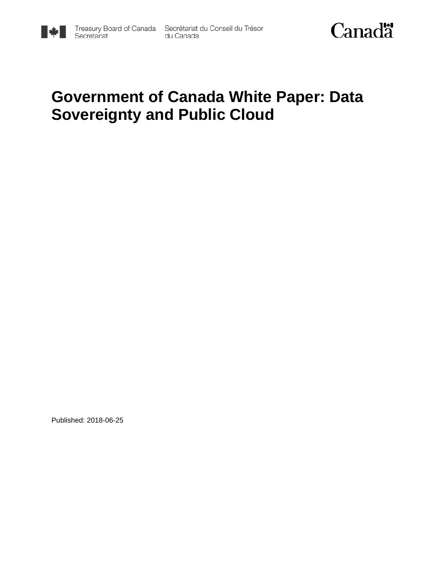

du Canada



# **Government of Canada White Paper: Data Sovereignty and Public Cloud**

Published: 2018-06-25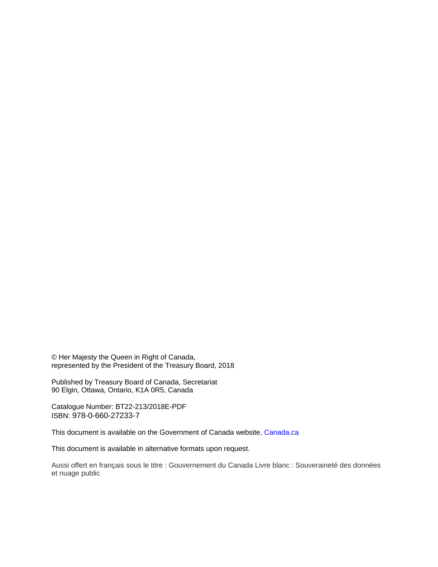© Her Majesty the Queen in Right of Canada, represented by the President of the Treasury Board, 2018

Published by Treasury Board of Canada, Secretariat 90 Elgin, Ottawa, Ontario, K1A 0R5, Canada

Catalogue Number: BT22-213/2018E-PDF ISBN: 978-0-660-27233-7

This document is available on the Government of Canada website, [Canada.](https://www.canada.ca/en.html)ca

This document is available in alternative formats upon request.

Aussi offert en français sous le titre : Gouvernement du Canada Livre blanc : Souveraineté des données et nuage public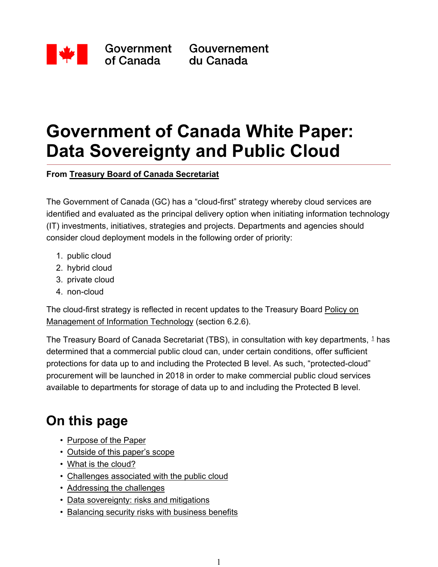

Government of Canada

Gouvernement du Canada

# **Government of Canada White Paper: Data Sovereignty and Public Cloud**

**From Treasury Board of Canada Secretariat**

The Government of Canada (GC) has a "cloud-first" strategy whereby cloud services are identified and evaluated as the principal delivery option when initiating information technology (IT) investments, initiatives, strategies and projects. Departments and agencies should consider cloud deployment models in the following order of priority:

- 1. public cloud
- 2. hybrid cloud
- 3. private cloud
- 4. non-cloud

The cloud-first strategy is reflected in recent updates to the Treasury Board Policy on Management of Information Technology (section 6.2.6).

The Treasury Board of Canada Secretariat (TBS), in consultation with key departments,  $1$  has determined that a commercial public cloud can, under certain conditions, offer sufficient protections for data up to and including the Protected B level. As such, "protected-cloud" procurement will be launched in 2018 in order to make commercial public cloud services available to departments for storage of data up to and including the Protected B level.

## **On this page**

- Purpose of the Paper
- Outside of this paper's scope
- What is the cloud?
- Challenges associated with the public cloud
- Addressing the challenges
- Data sovereignty: risks and mitigations
- Balancing security risks with business benefits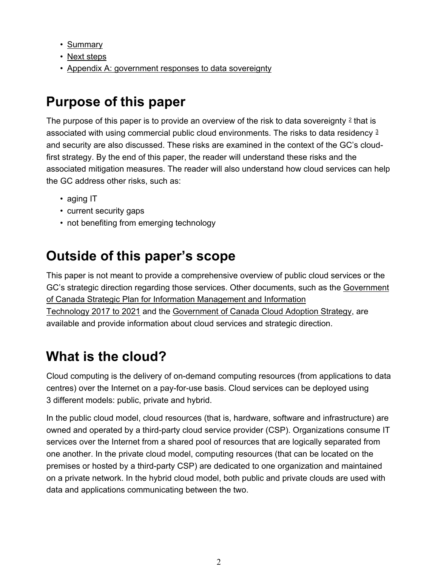- Summary
- Next steps
- Appendix A: government responses to data sovereignty

## **Purpose of this paper**

The purpose of this paper is to provide an overview of the risk to data sovereignty  $2$  that is associated with using commercial public cloud environments. The risks to data residency 3 and security are also discussed. These risks are examined in the context of the GC's cloudfirst strategy. By the end of this paper, the reader will understand these risks and the associated mitigation measures. The reader will also understand how cloud services can help the GC address other risks, such as:

- aging IT
- current security gaps
- not benefiting from emerging technology

## **Outside of this paper's scope**

This paper is not meant to provide a comprehensive overview of public cloud services or the GC's strategic direction regarding those services. Other documents, such as the Government of Canada Strategic Plan for Information Management and Information Technology 2017 to 2021 and the Government of Canada Cloud Adoption Strategy, are available and provide information about cloud services and strategic direction.

## **What is the cloud?**

Cloud computing is the delivery of on-demand computing resources (from applications to data centres) over the Internet on a pay-for-use basis. Cloud services can be deployed using 3 different models: public, private and hybrid.

In the public cloud model, cloud resources (that is, hardware, software and infrastructure) are owned and operated by a third-party cloud service provider (CSP). Organizations consume IT services over the Internet from a shared pool of resources that are logically separated from one another. In the private cloud model, computing resources (that can be located on the premises or hosted by a third-party CSP) are dedicated to one organization and maintained on a private network. In the hybrid cloud model, both public and private clouds are used with data and applications communicating between the two.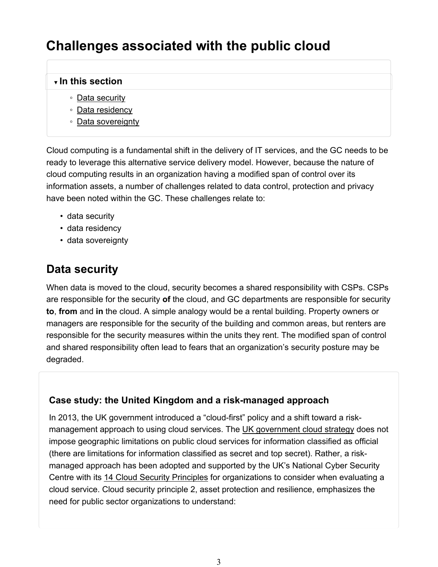## **Challenges associated with the public cloud**

#### **▼ In this section**

- Data security
- Data residency
- Data sovereignty

Cloud computing is a fundamental shift in the delivery of IT services, and the GC needs to be ready to leverage this alternative service delivery model. However, because the nature of cloud computing results in an organization having a modified span of control over its information assets, a number of challenges related to data control, protection and privacy have been noted within the GC. These challenges relate to:

- data security
- data residency
- data sovereignty

### **Data security**

When data is moved to the cloud, security becomes a shared responsibility with CSPs. CSPs are responsible for the security **of** the cloud, and GC departments are responsible for security **to**, **from** and **in** the cloud. A simple analogy would be a rental building. Property owners or managers are responsible for the security of the building and common areas, but renters are responsible for the security measures within the units they rent. The modified span of control and shared responsibility often lead to fears that an organization's security posture may be degraded.

#### **Case study: the United Kingdom and a risk-managed approach**

In 2013, the UK government introduced a "cloud-first" policy and a shift toward a riskmanagement approach to using cloud services. The UK government cloud strategy does not impose geographic limitations on public cloud services for information classified as official (there are limitations for information classified as secret and top secret). Rather, a riskmanaged approach has been adopted and supported by the UK's National Cyber Security Centre with its 14 Cloud Security Principles for organizations to consider when evaluating a cloud service. Cloud security principle 2, asset protection and resilience, emphasizes the need for public sector organizations to understand: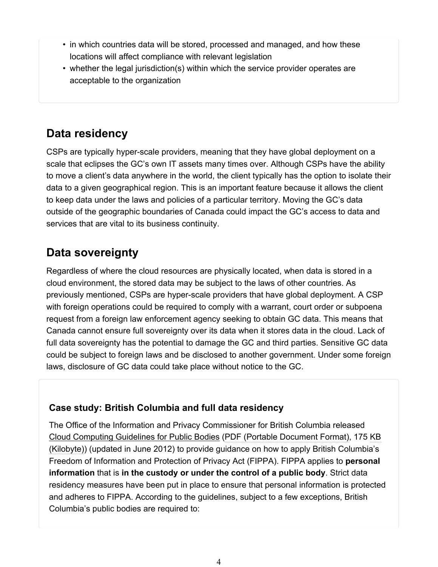- in which countries data will be stored, processed and managed, and how these locations will affect compliance with relevant legislation
- whether the legal jurisdiction(s) within which the service provider operates are acceptable to the organization

### **Data residency**

CSPs are typically hyper-scale providers, meaning that they have global deployment on a scale that eclipses the GC's own IT assets many times over. Although CSPs have the ability to move a client's data anywhere in the world, the client typically has the option to isolate their data to a given geographical region. This is an important feature because it allows the client to keep data under the laws and policies of a particular territory. Moving the GC's data outside of the geographic boundaries of Canada could impact the GC's access to data and services that are vital to its business continuity.

### **Data sovereignty**

Regardless of where the cloud resources are physically located, when data is stored in a cloud environment, the stored data may be subject to the laws of other countries. As previously mentioned, CSPs are hyper-scale providers that have global deployment. A CSP with foreign operations could be required to comply with a warrant, court order or subpoena request from a foreign law enforcement agency seeking to obtain GC data. This means that Canada cannot ensure full sovereignty over its data when it stores data in the cloud. Lack of full data sovereignty has the potential to damage the GC and third parties. Sensitive GC data could be subject to foreign laws and be disclosed to another government. Under some foreign laws, disclosure of GC data could take place without notice to the GC.

#### **Case study: British Columbia and full data residency**

The Office of the Information and Privacy Commissioner for British Columbia released Cloud Computing Guidelines for Public Bodies (PDF (Portable Document Format), 175 KB (Kilobyte)) (updated in June 2012) to provide guidance on how to apply British Columbia's Freedom of Information and Protection of Privacy Act (FIPPA). FIPPA applies to **personal information** that is **in the custody or under the control of a public body**. Strict data residency measures have been put in place to ensure that personal information is protected and adheres to FIPPA. According to the guidelines, subject to a few exceptions, British Columbia's public bodies are required to: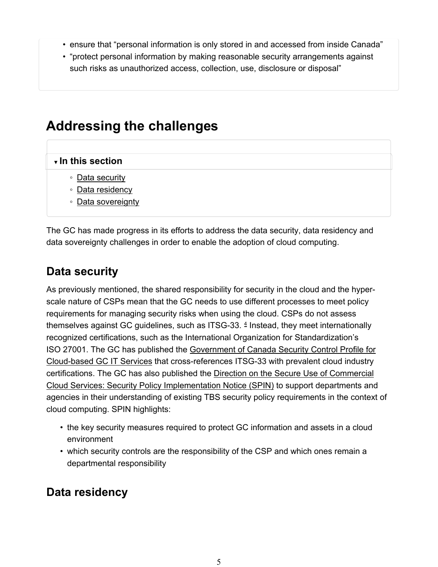- ensure that "personal information is only stored in and accessed from inside Canada"
- "protect personal information by making reasonable security arrangements against such risks as unauthorized access, collection, use, disclosure or disposal"

### **Addressing the challenges**

#### **▼ In this section**

- Data security
- Data residency
- Data sovereignty

The GC has made progress in its efforts to address the data security, data residency and data sovereignty challenges in order to enable the adoption of cloud computing.

#### **Data security**

As previously mentioned, the shared responsibility for security in the cloud and the hyperscale nature of CSPs mean that the GC needs to use different processes to meet policy requirements for managing security risks when using the cloud. CSPs do not assess themselves against GC guidelines, such as ITSG-33. $4$  Instead, they meet internationally recognized certifications, such as the International Organization for Standardization's ISO 27001. The GC has published the Government of Canada Security Control Profile for Cloud-based GC IT Services that cross-references ITSG-33 with prevalent cloud industry certifications. The GC has also published the Direction on the Secure Use of Commercial Cloud Services: Security Policy Implementation Notice (SPIN) to support departments and agencies in their understanding of existing TBS security policy requirements in the context of cloud computing. SPIN highlights:

- the key security measures required to protect GC information and assets in a cloud environment
- which security controls are the responsibility of the CSP and which ones remain a departmental responsibility

#### **Data residency**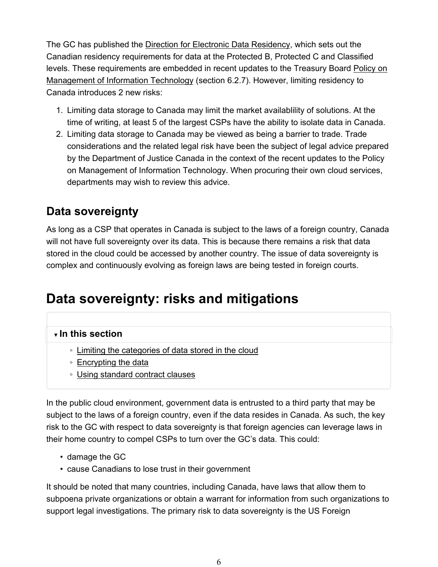The GC has published the Direction for Electronic Data Residency, which sets out the Canadian residency requirements for data at the Protected B, Protected C and Classified levels. These requirements are embedded in recent updates to the Treasury Board Policy on Management of Information Technology (section 6.2.7). However, limiting residency to Canada introduces 2 new risks:

- 1. Limiting data storage to Canada may limit the market availablility of solutions. At the time of writing, at least 5 of the largest CSPs have the ability to isolate data in Canada.
- 2. Limiting data storage to Canada may be viewed as being a barrier to trade. Trade considerations and the related legal risk have been the subject of legal advice prepared by the Department of Justice Canada in the context of the recent updates to the Policy on Management of Information Technology. When procuring their own cloud services, departments may wish to review this advice.

### **Data sovereignty**

As long as a CSP that operates in Canada is subject to the laws of a foreign country, Canada will not have full sovereignty over its data. This is because there remains a risk that data stored in the cloud could be accessed by another country. The issue of data sovereignty is complex and continuously evolving as foreign laws are being tested in foreign courts.

## **Data sovereignty: risks and mitigations**

#### **▼ In this section**

- Limiting the categories of data stored in the cloud
- Encrypting the data
- Using standard contract clauses

In the public cloud environment, government data is entrusted to a third party that may be subject to the laws of a foreign country, even if the data resides in Canada. As such, the key risk to the GC with respect to data sovereignty is that foreign agencies can leverage laws in their home country to compel CSPs to turn over the GC's data. This could:

- damage the GC
- cause Canadians to lose trust in their government

It should be noted that many countries, including Canada, have laws that allow them to subpoena private organizations or obtain a warrant for information from such organizations to support legal investigations. The primary risk to data sovereignty is the US Foreign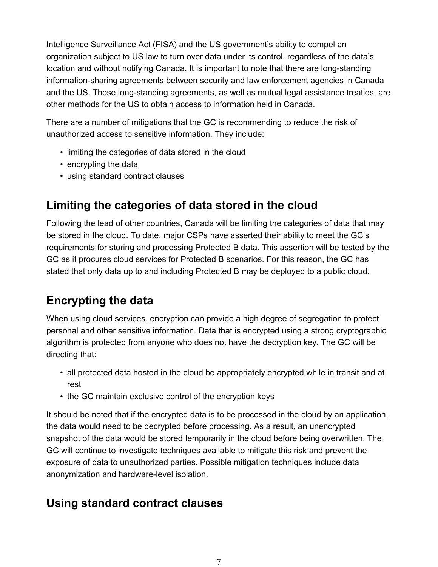Intelligence Surveillance Act (FISA) and the US government's ability to compel an organization subject to US law to turn over data under its control, regardless of the data's location and without notifying Canada. It is important to note that there are long-standing information-sharing agreements between security and law enforcement agencies in Canada and the US. Those long-standing agreements, as well as mutual legal assistance treaties, are other methods for the US to obtain access to information held in Canada.

There are a number of mitigations that the GC is recommending to reduce the risk of unauthorized access to sensitive information. They include:

- limiting the categories of data stored in the cloud
- encrypting the data
- using standard contract clauses

### **Limiting the categories of data stored in the cloud**

Following the lead of other countries, Canada will be limiting the categories of data that may be stored in the cloud. To date, major CSPs have asserted their ability to meet the GC's requirements for storing and processing Protected B data. This assertion will be tested by the GC as it procures cloud services for Protected B scenarios. For this reason, the GC has stated that only data up to and including Protected B may be deployed to a public cloud.

### **Encrypting the data**

When using cloud services, encryption can provide a high degree of segregation to protect personal and other sensitive information. Data that is encrypted using a strong cryptographic algorithm is protected from anyone who does not have the decryption key. The GC will be directing that:

- all protected data hosted in the cloud be appropriately encrypted while in transit and at rest
- the GC maintain exclusive control of the encryption keys

It should be noted that if the encrypted data is to be processed in the cloud by an application, the data would need to be decrypted before processing. As a result, an unencrypted snapshot of the data would be stored temporarily in the cloud before being overwritten. The GC will continue to investigate techniques available to mitigate this risk and prevent the exposure of data to unauthorized parties. Possible mitigation techniques include data anonymization and hardware-level isolation.

#### **Using standard contract clauses**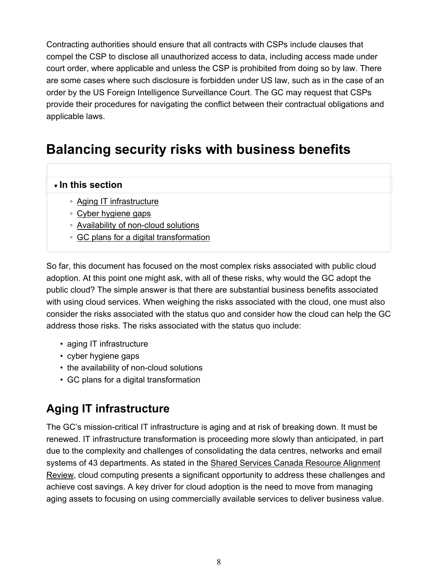Contracting authorities should ensure that all contracts with CSPs include clauses that compel the CSP to disclose all unauthorized access to data, including access made under court order, where applicable and unless the CSP is prohibited from doing so by law. There are some cases where such disclosure is forbidden under US law, such as in the case of an order by the US Foreign Intelligence Surveillance Court. The GC may request that CSPs provide their procedures for navigating the conflict between their contractual obligations and applicable laws.

## **Balancing security risks with business benefits**

#### **▼ In this section**

- Aging IT infrastructure
- Cyber hygiene gaps
- Availability of non-cloud solutions
- GC plans for a digital transformation

So far, this document has focused on the most complex risks associated with public cloud adoption. At this point one might ask, with all of these risks, why would the GC adopt the public cloud? The simple answer is that there are substantial business benefits associated with using cloud services. When weighing the risks associated with the cloud, one must also consider the risks associated with the status quo and consider how the cloud can help the GC address those risks. The risks associated with the status quo include:

- aging IT infrastructure
- cyber hygiene gaps
- the availability of non-cloud solutions
- GC plans for a digital transformation

#### **Aging IT infrastructure**

The GC's mission-critical IT infrastructure is aging and at risk of breaking down. It must be renewed. IT infrastructure transformation is proceeding more slowly than anticipated, in part due to the complexity and challenges of consolidating the data centres, networks and email systems of 43 departments. As stated in the Shared Services Canada Resource Alignment Review, cloud computing presents a significant opportunity to address these challenges and achieve cost savings. A key driver for cloud adoption is the need to move from managing aging assets to focusing on using commercially available services to deliver business value.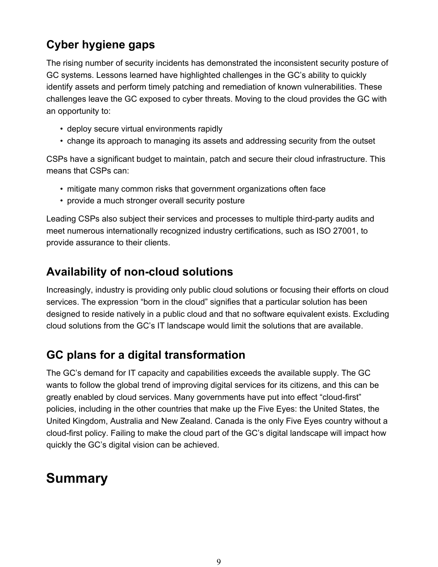### **Cyber hygiene gaps**

The rising number of security incidents has demonstrated the inconsistent security posture of GC systems. Lessons learned have highlighted challenges in the GC's ability to quickly identify assets and perform timely patching and remediation of known vulnerabilities. These challenges leave the GC exposed to cyber threats. Moving to the cloud provides the GC with an opportunity to:

- deploy secure virtual environments rapidly
- change its approach to managing its assets and addressing security from the outset

CSPs have a significant budget to maintain, patch and secure their cloud infrastructure. This means that CSPs can:

- mitigate many common risks that government organizations often face
- provide a much stronger overall security posture

Leading CSPs also subject their services and processes to multiple third-party audits and meet numerous internationally recognized industry certifications, such as ISO 27001, to provide assurance to their clients.

#### **Availability of non-cloud solutions**

Increasingly, industry is providing only public cloud solutions or focusing their efforts on cloud services. The expression "born in the cloud" signifies that a particular solution has been designed to reside natively in a public cloud and that no software equivalent exists. Excluding cloud solutions from the GC's IT landscape would limit the solutions that are available.

### **GC plans for a digital transformation**

The GC's demand for IT capacity and capabilities exceeds the available supply. The GC wants to follow the global trend of improving digital services for its citizens, and this can be greatly enabled by cloud services. Many governments have put into effect "cloud-first" policies, including in the other countries that make up the Five Eyes: the United States, the United Kingdom, Australia and New Zealand. Canada is the only Five Eyes country without a cloud-first policy. Failing to make the cloud part of the GC's digital landscape will impact how quickly the GC's digital vision can be achieved.

### **Summary**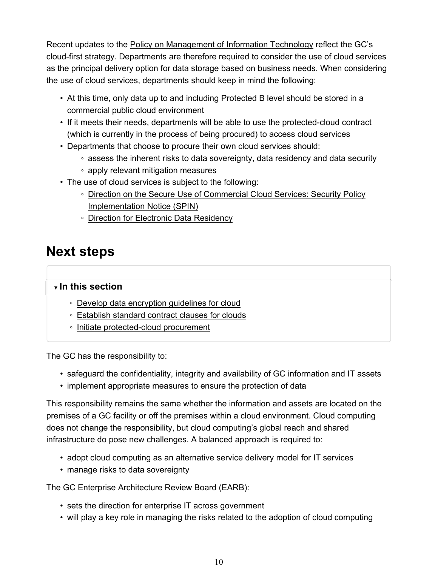Recent updates to the Policy on Management of Information Technology reflect the GC's cloud-first strategy. Departments are therefore required to consider the use of cloud services as the principal delivery option for data storage based on business needs. When considering the use of cloud services, departments should keep in mind the following:

- At this time, only data up to and including Protected B level should be stored in a commercial public cloud environment
- If it meets their needs, departments will be able to use the protected-cloud contract (which is currently in the process of being procured) to access cloud services
- Departments that choose to procure their own cloud services should:
	- assess the inherent risks to data sovereignty, data residency and data security
	- apply relevant mitigation measures
- The use of cloud services is subject to the following:
	- Direction on the Secure Use of Commercial Cloud Services: Security Policy Implementation Notice (SPIN)
	- Direction for Electronic Data Residency

### **Next steps**

#### **▼ In this section**

- Develop data encryption guidelines for cloud
- Establish standard contract clauses for clouds
- Initiate protected-cloud procurement

The GC has the responsibility to:

- safeguard the confidentiality, integrity and availability of GC information and IT assets
- implement appropriate measures to ensure the protection of data

This responsibility remains the same whether the information and assets are located on the premises of a GC facility or off the premises within a cloud environment. Cloud computing does not change the responsibility, but cloud computing's global reach and shared infrastructure do pose new challenges. A balanced approach is required to:

- adopt cloud computing as an alternative service delivery model for IT services
- manage risks to data sovereignty

The GC Enterprise Architecture Review Board (EARB):

- sets the direction for enterprise IT across government
- will play a key role in managing the risks related to the adoption of cloud computing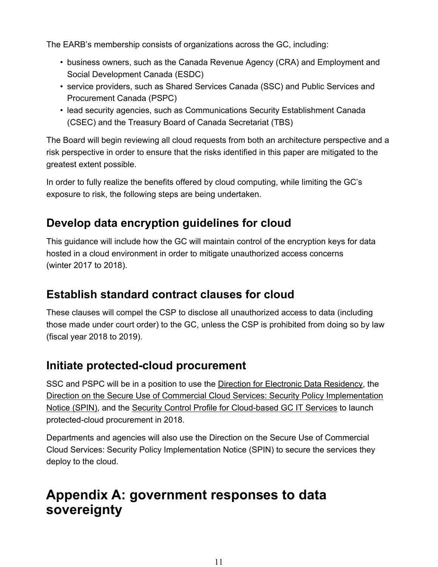The EARB's membership consists of organizations across the GC, including:

- business owners, such as the Canada Revenue Agency (CRA) and Employment and Social Development Canada (ESDC)
- service providers, such as Shared Services Canada (SSC) and Public Services and Procurement Canada (PSPC)
- lead security agencies, such as Communications Security Establishment Canada (CSEC) and the Treasury Board of Canada Secretariat (TBS)

The Board will begin reviewing all cloud requests from both an architecture perspective and a risk perspective in order to ensure that the risks identified in this paper are mitigated to the greatest extent possible.

In order to fully realize the benefits offered by cloud computing, while limiting the GC's exposure to risk, the following steps are being undertaken.

### **Develop data encryption guidelines for cloud**

This guidance will include how the GC will maintain control of the encryption keys for data hosted in a cloud environment in order to mitigate unauthorized access concerns (winter 2017 to 2018).

#### **Establish standard contract clauses for cloud**

These clauses will compel the CSP to disclose all unauthorized access to data (including those made under court order) to the GC, unless the CSP is prohibited from doing so by law (fiscal year 2018 to 2019).

#### **Initiate protected-cloud procurement**

SSC and PSPC will be in a position to use the Direction for Electronic Data Residency, the Direction on the Secure Use of Commercial Cloud Services: Security Policy Implementation Notice (SPIN), and the Security Control Profile for Cloud-based GC IT Services to launch protected-cloud procurement in 2018.

Departments and agencies will also use the Direction on the Secure Use of Commercial Cloud Services: Security Policy Implementation Notice (SPIN) to secure the services they deploy to the cloud.

## **Appendix A: government responses to data sovereignty**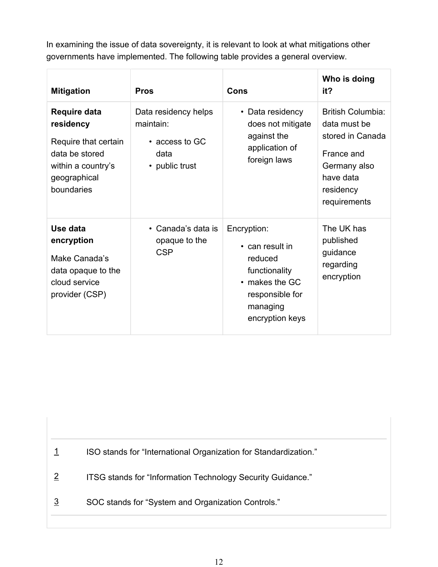In examining the issue of data sovereignty, it is relevant to look at what mitigations other governments have implemented. The following table provides a general overview.

| <b>Mitigation</b>                                                                                                       | <b>Pros</b>                                                                   | <b>Cons</b>                                                                                                                          | Who is doing<br>it?                                                                                                                  |
|-------------------------------------------------------------------------------------------------------------------------|-------------------------------------------------------------------------------|--------------------------------------------------------------------------------------------------------------------------------------|--------------------------------------------------------------------------------------------------------------------------------------|
| Require data<br>residency<br>Require that certain<br>data be stored<br>within a country's<br>geographical<br>boundaries | Data residency helps<br>maintain:<br>• access to GC<br>data<br>• public trust | • Data residency<br>does not mitigate<br>against the<br>application of<br>foreign laws                                               | <b>British Columbia:</b><br>data must be<br>stored in Canada<br>France and<br>Germany also<br>have data<br>residency<br>requirements |
| Use data<br>encryption<br>Make Canada's<br>data opaque to the<br>cloud service<br>provider (CSP)                        | • Canada's data is<br>opaque to the<br><b>CSP</b>                             | Encryption:<br>• can result in<br>reduced<br>functionality<br>$\cdot$ makes the GC<br>responsible for<br>managing<br>encryption keys | The UK has<br>published<br>guidance<br>regarding<br>encryption                                                                       |

1 ISO stands for "International Organization for Standardization."

2 ITSG stands for "Information Technology Security Guidance."

3 SOC stands for "System and Organization Controls."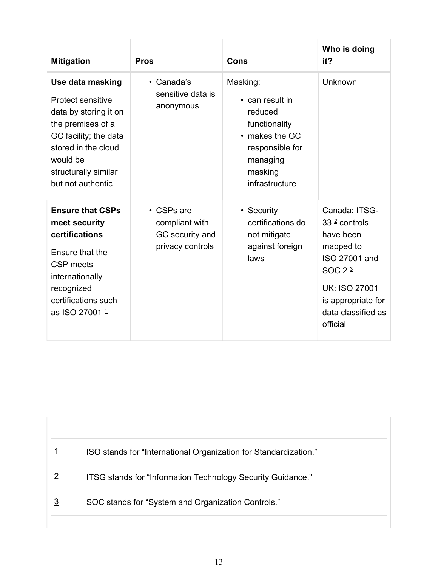| <b>Mitigation</b>                                                                                                                                                                                   | <b>Pros</b>                                                               | Cons                                                                                                                                  | Who is doing<br>it?                                                                                                                                                    |
|-----------------------------------------------------------------------------------------------------------------------------------------------------------------------------------------------------|---------------------------------------------------------------------------|---------------------------------------------------------------------------------------------------------------------------------------|------------------------------------------------------------------------------------------------------------------------------------------------------------------------|
| Use data masking<br><b>Protect sensitive</b><br>data by storing it on<br>the premises of a<br>GC facility; the data<br>stored in the cloud<br>would be<br>structurally similar<br>but not authentic | • Canada's<br>sensitive data is<br>anonymous                              | Masking:<br>• can result in<br>reduced<br>functionality<br>• makes the GC<br>responsible for<br>managing<br>masking<br>infrastructure | Unknown                                                                                                                                                                |
| <b>Ensure that CSPs</b><br>meet security<br>certifications<br>Ensure that the<br><b>CSP</b> meets<br>internationally<br>recognized<br>certifications such<br>as ISO 27001 1                         | $\cdot$ CSPs are<br>compliant with<br>GC security and<br>privacy controls | • Security<br>certifications do<br>not mitigate<br>against foreign<br>laws                                                            | Canada: ITSG-<br>$332$ controls<br>have been<br>mapped to<br>ISO 27001 and<br>SOC $23$<br><b>UK: ISO 27001</b><br>is appropriate for<br>data classified as<br>official |

1 ISO stands for "International Organization for Standardization."

2 ITSG stands for "Information Technology Security Guidance."

3 SOC stands for "System and Organization Controls."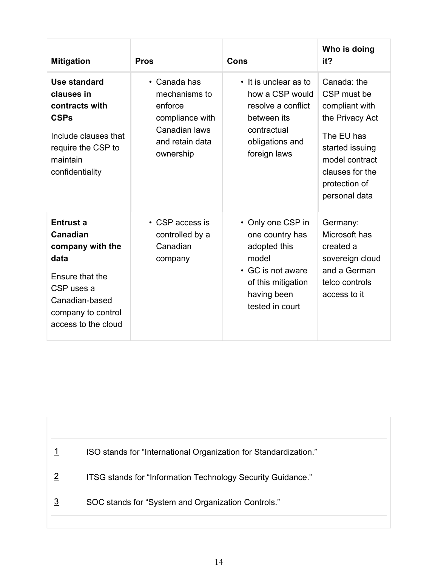| <b>Mitigation</b>                                                                                                                                        | <b>Pros</b>                                                                                                  | <b>Cons</b>                                                                                                                                | Who is doing<br>it?                                                                                                                                                     |
|----------------------------------------------------------------------------------------------------------------------------------------------------------|--------------------------------------------------------------------------------------------------------------|--------------------------------------------------------------------------------------------------------------------------------------------|-------------------------------------------------------------------------------------------------------------------------------------------------------------------------|
| Use standard<br>clauses in<br>contracts with<br><b>CSPs</b><br>Include clauses that<br>require the CSP to<br>maintain<br>confidentiality                 | • Canada has<br>mechanisms to<br>enforce<br>compliance with<br>Canadian laws<br>and retain data<br>ownership | • It is unclear as to<br>how a CSP would<br>resolve a conflict<br>between its<br>contractual<br>obligations and<br>foreign laws            | Canada: the<br>CSP must be<br>compliant with<br>the Privacy Act<br>The EU has<br>started issuing<br>model contract<br>clauses for the<br>protection of<br>personal data |
| <b>Entrust a</b><br>Canadian<br>company with the<br>data<br>Ensure that the<br>CSP uses a<br>Canadian-based<br>company to control<br>access to the cloud | • CSP access is<br>controlled by a<br>Canadian<br>company                                                    | • Only one CSP in<br>one country has<br>adopted this<br>model<br>• GC is not aware<br>of this mitigation<br>having been<br>tested in court | Germany:<br>Microsoft has<br>created a<br>sovereign cloud<br>and a German<br>telco controls<br>access to it                                                             |

1 ISO stands for "International Organization for Standardization."

2 ITSG stands for "Information Technology Security Guidance."

3 SOC stands for "System and Organization Controls."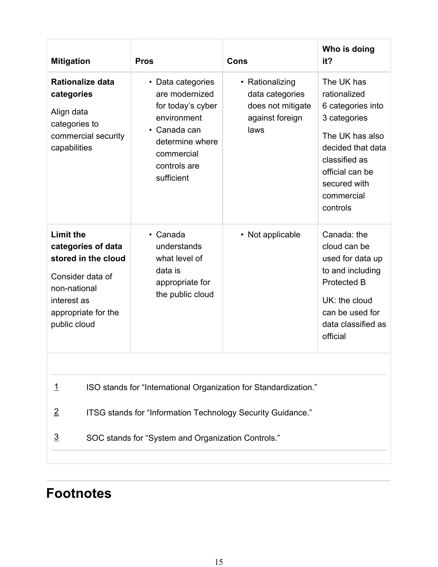| <b>Mitigation</b>                                                                                                                                                                                                                      | <b>Pros</b>                                                                                                                                            | Cons                                                                               | Who is doing<br>it?                                                                                                                                                                   |  |  |
|----------------------------------------------------------------------------------------------------------------------------------------------------------------------------------------------------------------------------------------|--------------------------------------------------------------------------------------------------------------------------------------------------------|------------------------------------------------------------------------------------|---------------------------------------------------------------------------------------------------------------------------------------------------------------------------------------|--|--|
| <b>Rationalize data</b><br>categories<br>Align data<br>categories to<br>commercial security<br>capabilities                                                                                                                            | • Data categories<br>are modernized<br>for today's cyber<br>environment<br>• Canada can<br>determine where<br>commercial<br>controls are<br>sufficient | • Rationalizing<br>data categories<br>does not mitigate<br>against foreign<br>laws | The UK has<br>rationalized<br>6 categories into<br>3 categories<br>The UK has also<br>decided that data<br>classified as<br>official can be<br>secured with<br>commercial<br>controls |  |  |
| <b>Limit the</b><br>categories of data<br>stored in the cloud<br>Consider data of<br>non-national<br>interest as<br>appropriate for the<br>public cloud                                                                                | • Canada<br>understands<br>what level of<br>data is<br>appropriate for<br>the public cloud                                                             | • Not applicable                                                                   | Canada: the<br>cloud can be<br>used for data up<br>to and including<br><b>Protected B</b><br>UK: the cloud<br>can be used for<br>data classified as<br>official                       |  |  |
| ISO stands for "International Organization for Standardization."<br><u> 1</u><br>$\overline{2}$<br>ITSG stands for "Information Technology Security Guidance."<br>$\overline{3}$<br>SOC stands for "System and Organization Controls." |                                                                                                                                                        |                                                                                    |                                                                                                                                                                                       |  |  |

## **Footnotes**